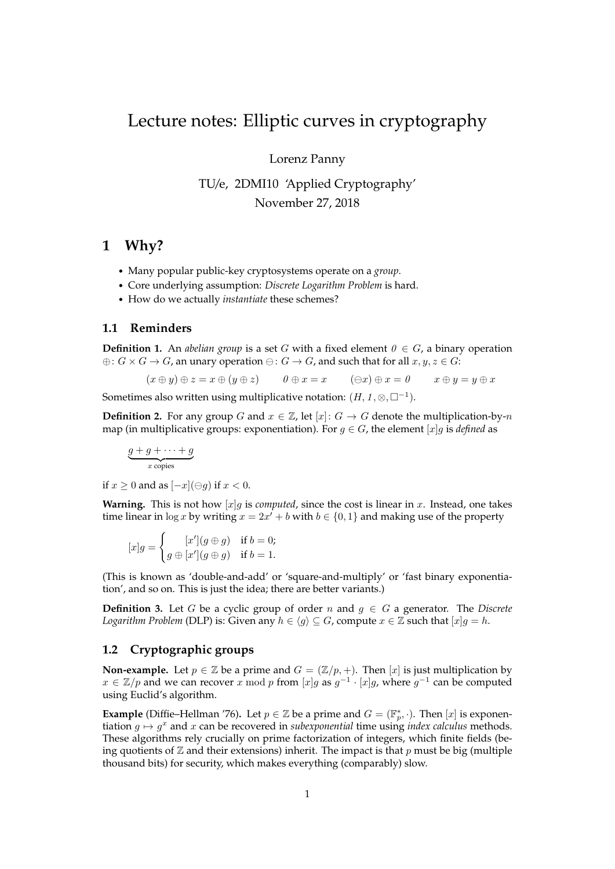# Lecture notes: Elliptic curves in cryptography

Lorenz Panny

TU/e, 2DMI10 'Applied Cryptography' November 27, 2018

## **1 Why?**

- Many popular public-key cryptosystems operate on a *group*.
- Core underlying assumption: *Discrete Logarithm Problem* is hard.
- How do we actually *instantiate* these schemes?

#### **1.1 Reminders**

**Definition 1.** An *abelian group* is a set G with a fixed element  $0 \in G$ , a binary operation  $\oplus: G \times G \to G$ , an unary operation  $\ominus: G \to G$ , and such that for all  $x, y, z \in G$ :

$$
(x \oplus y) \oplus z = x \oplus (y \oplus z) \qquad \theta \oplus x = x \qquad (\ominus x) \oplus x = \theta \qquad x \oplus y = y \oplus x
$$

Sometimes also written using multiplicative notation:  $(H, 1, \otimes, \Box^{-1})$ .

**Definition 2.** For any group G and  $x \in \mathbb{Z}$ , let  $[x]: G \rightarrow G$  denote the multiplication-by-n map (in multiplicative groups: exponentiation). For  $g \in G$ , the element [x]g is *defined* as

$$
\underbrace{g+g+\cdots+g}_{x \text{ copies}}
$$

if  $x > 0$  and as  $[-x](\ominus q)$  if  $x < 0$ .

**Warning.** This is not how  $[x]g$  is *computed*, since the cost is linear in x. Instead, one takes time linear in  $\log x$  by writing  $x = 2x^i + b$  with  $b \in \{0, 1\}$  and making use of the property

$$
[x]g = \begin{cases} [x'](g \oplus g) & \text{if } b = 0; \\ g \oplus [x'](g \oplus g) & \text{if } b = 1. \end{cases}
$$

(This is known as 'double-and-add' or 'square-and-multiply' or 'fast binary exponentiation', and so on. This is just the idea; there are better variants.)

**Definition 3.** Let G be a cyclic group of order n and  $g \in G$  a generator. The *Discrete Logarithm Problem* (DLP) is: Given any  $h \in \langle g \rangle \subseteq G$ , compute  $x \in \mathbb{Z}$  such that  $[x]g = h$ .

## **1.2 Cryptographic groups**

**Non-example.** Let  $p \in \mathbb{Z}$  be a prime and  $G = (\mathbb{Z}/p, +)$ . Then  $[x]$  is just multiplication by  $x \in \mathbb{Z}/p$  and we can recover x mod p from  $[x]g$  as  $g^{-1} \cdot [x]g$ , where  $g^{-1}$  can be computed using Euclid's algorithm.

**Example** (Diffie–Hellman '76). Let  $p \in \mathbb{Z}$  be a prime and  $G = (\mathbb{F}_p^*, \cdot)$ . Then  $[x]$  is exponentiation  $g \mapsto g^x$  and x can be recovered in *subexponential* time using *index calculus* methods. These algorithms rely crucially on prime factorization of integers, which finite fields (being quotients of  $\mathbb Z$  and their extensions) inherit. The impact is that p must be big (multiple thousand bits) for security, which makes everything (comparably) slow.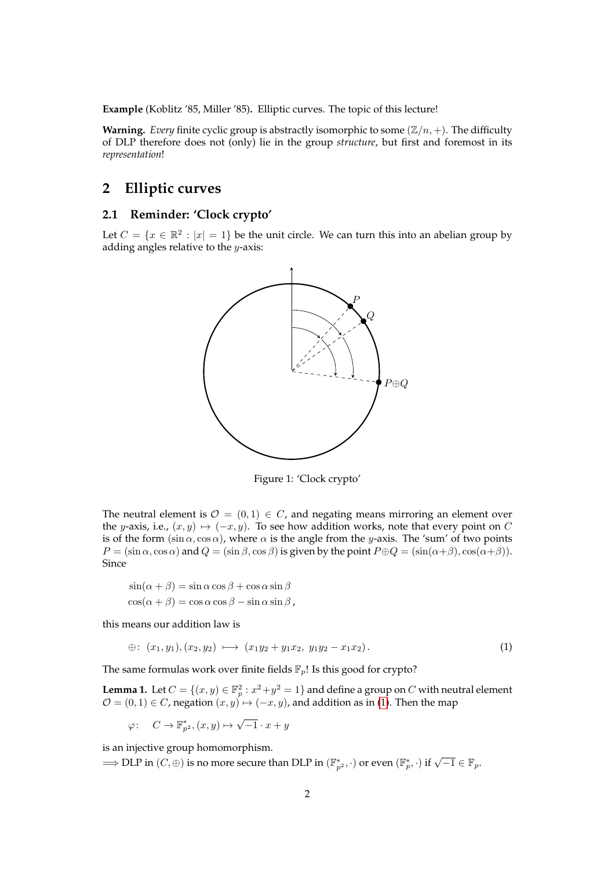**Example** (Koblitz '85, Miller '85)**.** Elliptic curves. The topic of this lecture!

**Warning.** *Every* finite cyclic group is abstractly isomorphic to some  $(\mathbb{Z}/n, +)$ . The difficulty of DLP therefore does not (only) lie in the group *structure*, but first and foremost in its *representation*!

## **2 Elliptic curves**

### **2.1 Reminder: 'Clock crypto'**

Let  $C = \{x \in \mathbb{R}^2 : |x| = 1\}$  be the unit circle. We can turn this into an abelian group by adding angles relative to the  $y$ -axis:



Figure 1: 'Clock crypto'

The neutral element is  $\mathcal{O} = (0, 1) \in C$ , and negating means mirroring an element over the y-axis, i.e.,  $(x, y) \mapsto (-x, y)$ . To see how addition works, note that every point on C is of the form (sin  $\alpha$ , cos  $\alpha$ ), where  $\alpha$  is the angle from the y-axis. The 'sum' of two points  $P = (\sin \alpha, \cos \alpha)$  and  $Q = (\sin \beta, \cos \beta)$  is given by the point  $P \oplus Q = (\sin(\alpha + \beta), \cos(\alpha + \beta)).$ Since

$$
\sin(\alpha + \beta) = \sin \alpha \cos \beta + \cos \alpha \sin \beta
$$
  

$$
\cos(\alpha + \beta) = \cos \alpha \cos \beta - \sin \alpha \sin \beta,
$$

this means our addition law is

<span id="page-1-0"></span>
$$
\oplus: (x_1, y_1), (x_2, y_2) \longmapsto (x_1y_2 + y_1x_2, y_1y_2 - x_1x_2). \tag{1}
$$

The same formulas work over finite fields  $\mathbb{F}_p!$  Is this good for crypto?

**Lemma 1.** Let  $C = \{(x, y) \in \mathbb{F}_p^2 : x^2 + y^2 = 1\}$  and define a group on  $C$  with neutral element  $\mathcal{O}=(0,1)\in C$ , negation  $(x,y)\mapsto (-x,y)$ , and addition as in [\(1\)](#page-1-0). Then the map

$$
\varphi: C \to \mathbb{F}_{p^2}^*, (x, y) \mapsto \sqrt{-1} \cdot x + y
$$

is an injective group homomorphism.

 $\Rightarrow$  DLP in  $(C, \oplus)$  is no more secure than DLP in  $(\mathbb{F}_{p^2}^*, \cdot)$  or even  $(\mathbb{F}_p^*, \cdot)$  if  $\sqrt{-1} \in \mathbb{F}_p$ .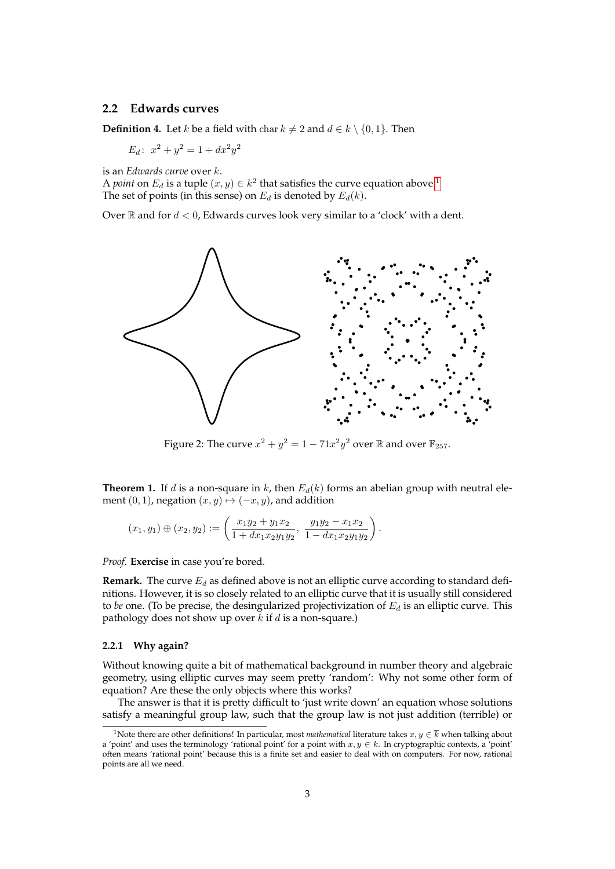#### **2.2 Edwards curves**

**Definition 4.** Let *k* be a field with char  $k \neq 2$  and  $d \in k \setminus \{0, 1\}$ . Then

 $E_d$ :  $x^2 + y^2 = 1 + dx^2y^2$ 

is an *Edwards curve* over k.

A *point* on  $E_d$  is a tuple  $(x, y) \in k^2$  that satisfies the curve equation above.<sup>[1](#page-2-0)</sup> The set of points (in this sense) on  $E_d$  is denoted by  $E_d(k)$ .

Over  $\mathbb R$  and for  $d < 0$ , Edwards curves look very similar to a 'clock' with a dent.



Figure 2: The curve  $x^2 + y^2 = 1 - 71x^2y^2$  over  $\mathbb R$  and over  $\mathbb{F}_{257}$ .

**Theorem 1.** If d is a non-square in k, then  $E_d(k)$  forms an abelian group with neutral element  $(0, 1)$ , negation  $(x, y) \mapsto (-x, y)$ , and addition

$$
(x_1, y_1) \oplus (x_2, y_2) := \left(\frac{x_1y_2 + y_1x_2}{1 + dx_1x_2y_1y_2}, \frac{y_1y_2 - x_1x_2}{1 - dx_1x_2y_1y_2}\right).
$$

*Proof.* **Exercise** in case you're bored.

**Remark.** The curve  $E_d$  as defined above is not an elliptic curve according to standard definitions. However, it is so closely related to an elliptic curve that it is usually still considered to *be* one. (To be precise, the desingularized projectivization of  $E_d$  is an elliptic curve. This pathology does not show up over  $k$  if  $d$  is a non-square.)

#### **2.2.1 Why again?**

Without knowing quite a bit of mathematical background in number theory and algebraic geometry, using elliptic curves may seem pretty 'random': Why not some other form of equation? Are these the only objects where this works?

The answer is that it is pretty difficult to 'just write down' an equation whose solutions satisfy a meaningful group law, such that the group law is not just addition (terrible) or

<span id="page-2-0"></span><sup>&</sup>lt;sup>1</sup>Note there are other definitions! In particular, most *mathematical* literature takes  $x, y \in \overline{k}$  when talking about a 'point' and uses the terminology 'rational point' for a point with  $x, y \in k$ . In cryptographic contexts, a 'point' often means 'rational point' because this is a finite set and easier to deal with on computers. For now, rational points are all we need.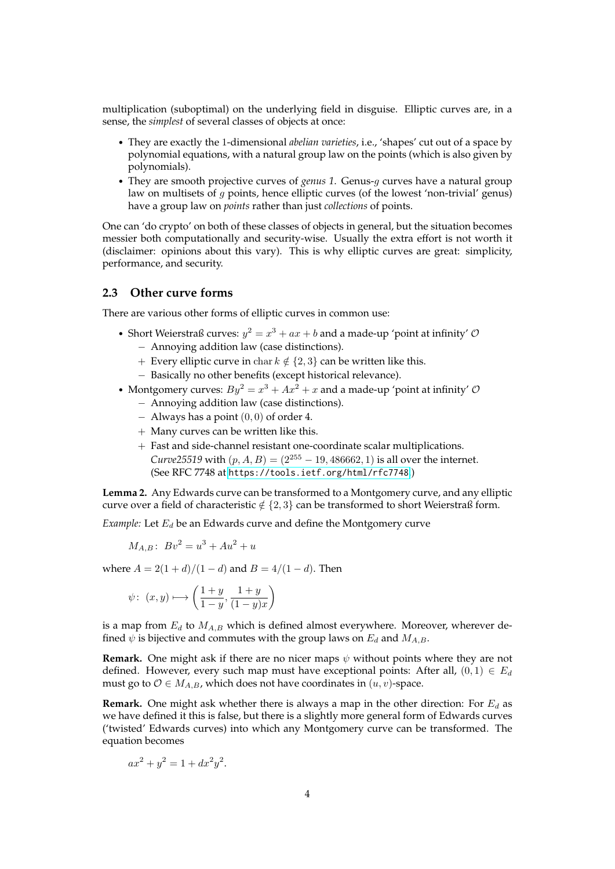multiplication (suboptimal) on the underlying field in disguise. Elliptic curves are, in a sense, the *simplest* of several classes of objects at once:

- They are exactly the 1-dimensional *abelian varieties*, i.e., 'shapes' cut out of a space by polynomial equations, with a natural group law on the points (which is also given by polynomials).
- They are smooth projective curves of *genus 1*. Genus-g curves have a natural group law on multisets of g points, hence elliptic curves (of the lowest 'non-trivial' genus) have a group law on *points* rather than just *collections* of points.

One can 'do crypto' on both of these classes of objects in general, but the situation becomes messier both computationally and security-wise. Usually the extra effort is not worth it (disclaimer: opinions about this vary). This is why elliptic curves are great: simplicity, performance, and security.

### **2.3 Other curve forms**

There are various other forms of elliptic curves in common use:

- Short Weierstraß curves:  $y^2 = x^3 + ax + b$  and a made-up 'point at infinity'  $\mathcal{O}$ − Annoying addition law (case distinctions).
	- + Every elliptic curve in char  $k \notin \{2, 3\}$  can be written like this.
	- − Basically no other benefits (except historical relevance).
- Montgomery curves:  $By^2 = x^3 + Ax^2 + x$  and a made-up 'point at infinity'  $\mathcal{O}$ 
	- − Annoying addition law (case distinctions).
	- $-$  Always has a point  $(0, 0)$  of order 4.
	- + Many curves can be written like this.
	- + Fast and side-channel resistant one-coordinate scalar multiplications. *Curve*25519 with  $(p, A, B) = (2^{255} - 19, 486662, 1)$  is all over the internet. (See RFC 7748 at <https://tools.ietf.org/html/rfc7748>.)

**Lemma 2.** Any Edwards curve can be transformed to a Montgomery curve, and any elliptic curve over a field of characteristic  $\notin \{2,3\}$  can be transformed to short Weierstraß form.

*Example:* Let  $E_d$  be an Edwards curve and define the Montgomery curve

$$
M_{A,B}: Bv^2 = u^3 + Au^2 + u
$$

where  $A = 2(1 + d)/(1 - d)$  and  $B = 4/(1 - d)$ . Then

$$
\psi\colon\ (x,y)\longmapsto \left(\frac{1+y}{1-y},\frac{1+y}{(1-y)x}\right)
$$

is a map from  $E_d$  to  $M_{A,B}$  which is defined almost everywhere. Moreover, wherever defined  $\psi$  is bijective and commutes with the group laws on  $E_d$  and  $M_{A,B}$ .

**Remark.** One might ask if there are no nicer maps  $\psi$  without points where they are not defined. However, every such map must have exceptional points: After all,  $(0, 1) \in E_d$ must go to  $\mathcal{O} \in M_{A,B}$ , which does not have coordinates in  $(u, v)$ -space.

**Remark.** One might ask whether there is always a map in the other direction: For  $E_d$  as we have defined it this is false, but there is a slightly more general form of Edwards curves ('twisted' Edwards curves) into which any Montgomery curve can be transformed. The equation becomes

$$
ax^2 + y^2 = 1 + dx^2y^2.
$$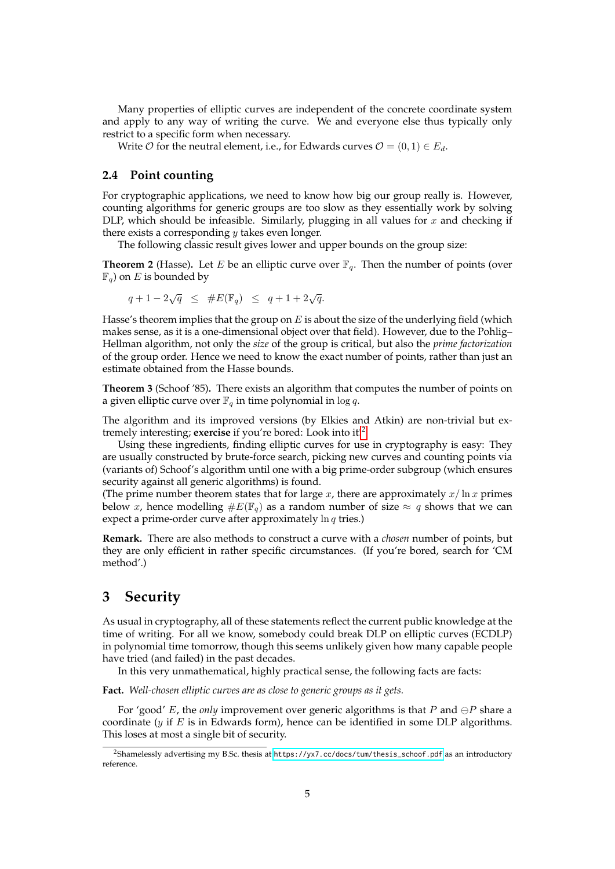Many properties of elliptic curves are independent of the concrete coordinate system and apply to any way of writing the curve. We and everyone else thus typically only restrict to a specific form when necessary.

Write  $\mathcal O$  for the neutral element, i.e., for Edwards curves  $\mathcal O = (0,1) \in E_d$ .

### **2.4 Point counting**

For cryptographic applications, we need to know how big our group really is. However, counting algorithms for generic groups are too slow as they essentially work by solving DLP, which should be infeasible. Similarly, plugging in all values for  $x$  and checking if there exists a corresponding  $y$  takes even longer.

The following classic result gives lower and upper bounds on the group size:

**Theorem 2** (Hasse). Let E be an elliptic curve over  $\mathbb{F}_q$ . Then the number of points (over  $\mathbb{F}_q$ ) on E is bounded by

 $q+1-2\sqrt{q} \leq #E(\mathbb{F}_q) \leq q+1+2\sqrt{q}.$ 

Hasse's theorem implies that the group on  $E$  is about the size of the underlying field (which makes sense, as it is a one-dimensional object over that field). However, due to the Pohlig– Hellman algorithm, not only the *size* of the group is critical, but also the *prime factorization* of the group order. Hence we need to know the exact number of points, rather than just an estimate obtained from the Hasse bounds.

**Theorem 3** (Schoof '85)**.** There exists an algorithm that computes the number of points on a given elliptic curve over  $\mathbb{F}_q$  in time polynomial in  $\log q$ .

The algorithm and its improved versions (by Elkies and Atkin) are non-trivial but extremely interesting; **exercise** if you're bored: Look into it![2](#page-4-0)

Using these ingredients, finding elliptic curves for use in cryptography is easy: They are usually constructed by brute-force search, picking new curves and counting points via (variants of) Schoof's algorithm until one with a big prime-order subgroup (which ensures security against all generic algorithms) is found.

(The prime number theorem states that for large x, there are approximately  $x/\ln x$  primes below x, hence modelling  $\#E(\mathbb{F}_q)$  as a random number of size  $\approx q$  shows that we can expect a prime-order curve after approximately  $\ln q$  tries.)

**Remark.** There are also methods to construct a curve with a *chosen* number of points, but they are only efficient in rather specific circumstances. (If you're bored, search for 'CM method'.)

## **3 Security**

As usual in cryptography, all of these statements reflect the current public knowledge at the time of writing. For all we know, somebody could break DLP on elliptic curves (ECDLP) in polynomial time tomorrow, though this seems unlikely given how many capable people have tried (and failed) in the past decades.

In this very unmathematical, highly practical sense, the following facts are facts:

**Fact.** *Well-chosen elliptic curves are as close to generic groups as it gets.*

For 'good' E, the *only* improvement over generic algorithms is that P and  $\ominus P$  share a coordinate ( $y$  if  $E$  is in Edwards form), hence can be identified in some DLP algorithms. This loses at most a single bit of security.

<span id="page-4-0"></span><sup>2</sup>Shamelessly advertising my B.Sc. thesis at [https://yx7.cc/docs/tum/thesis\\_schoof.pdf](https://yx7.cc/docs/tum/thesis_schoof.pdf) as an introductory reference.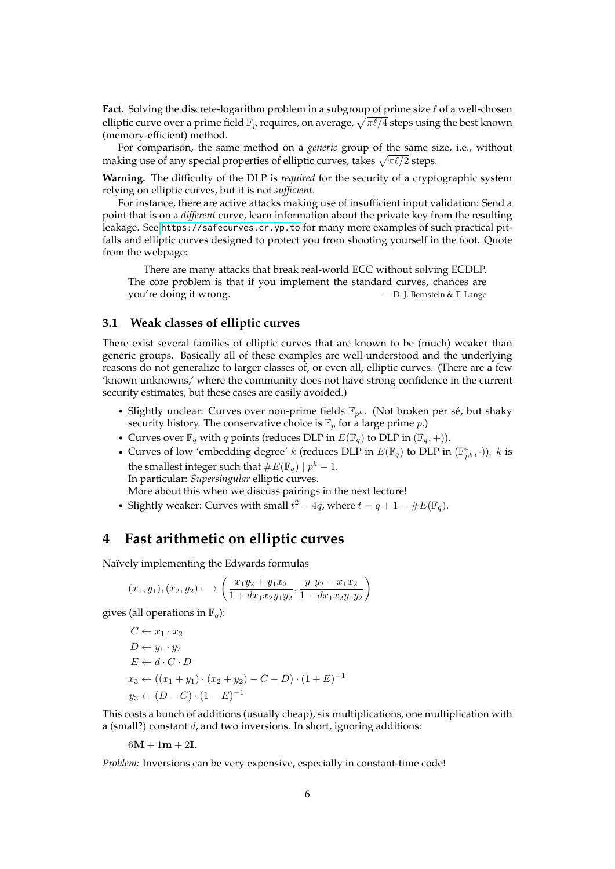**Fact.** Solving the discrete-logarithm problem in a subgroup of prime size  $\ell$  of a well-chosen elliptic curve over a prime field  $\mathbb{F}_p$  requires, on average,  $\sqrt{\pi \ell/4}$  steps using the best known (memory-efficient) method.

For comparison, the same method on a *generic* group of the same size, i.e., without making use of any special properties of elliptic curves, takes  $\sqrt{\pi\ell/2}$  steps.

**Warning.** The difficulty of the DLP is *required* for the security of a cryptographic system relying on elliptic curves, but it is not *sufficient*.

For instance, there are active attacks making use of insufficient input validation: Send a point that is on a *different* curve, learn information about the private key from the resulting leakage. See <https://safecurves.cr.yp.to> for many more examples of such practical pitfalls and elliptic curves designed to protect you from shooting yourself in the foot. Quote from the webpage:

There are many attacks that break real-world ECC without solving ECDLP. The core problem is that if you implement the standard curves, chances are you're doing it wrong.  $-$  D. J. Bernstein & T. Lange

#### **3.1 Weak classes of elliptic curves**

There exist several families of elliptic curves that are known to be (much) weaker than generic groups. Basically all of these examples are well-understood and the underlying reasons do not generalize to larger classes of, or even all, elliptic curves. (There are a few 'known unknowns,' where the community does not have strong confidence in the current security estimates, but these cases are easily avoided.)

- Slightly unclear: Curves over non-prime fields  $\mathbb{F}_{p^k}$ . (Not broken per sé, but shaky security history. The conservative choice is  $\mathbb{F}_p$  for a large prime p.)
- Curves over  $\mathbb{F}_q$  with q points (reduces DLP in  $E(\mathbb{F}_q)$  to DLP in  $(\mathbb{F}_q, +)$ ).
- Curves of low 'embedding degree' k (reduces DLP in  $E(\mathbb{F}_q)$  to DLP in  $(\mathbb{F}_{p^k}^*, \cdot)$ ). k is the smallest integer such that  $#E(\mathbb{F}_q) | p^k - 1$ . In particular: *Supersingular* elliptic curves. More about this when we discuss pairings in the next lecture!
- Slightly weaker: Curves with small  $t^2 4q$ , where  $t = q + 1 \#E(\mathbb{F}_q)$ .

## **4 Fast arithmetic on elliptic curves**

Naïvely implementing the Edwards formulas

$$
(x_1, y_1), (x_2, y_2) \longmapsto \left(\frac{x_1y_2 + y_1x_2}{1 + dx_1x_2y_1y_2}, \frac{y_1y_2 - x_1x_2}{1 - dx_1x_2y_1y_2}\right)
$$

gives (all operations in  $\mathbb{F}_q$ ):

$$
C \leftarrow x_1 \cdot x_2
$$
  
\n
$$
D \leftarrow y_1 \cdot y_2
$$
  
\n
$$
E \leftarrow d \cdot C \cdot D
$$
  
\n
$$
x_3 \leftarrow ((x_1 + y_1) \cdot (x_2 + y_2) - C - D) \cdot (1 + E)^{-1}
$$
  
\n
$$
y_3 \leftarrow (D - C) \cdot (1 - E)^{-1}
$$

This costs a bunch of additions (usually cheap), six multiplications, one multiplication with a (small?) constant  $d$ , and two inversions. In short, ignoring additions:

$$
6\mathbf{M}+1\mathbf{m}+2\mathbf{I}.
$$

*Problem:* Inversions can be very expensive, especially in constant-time code!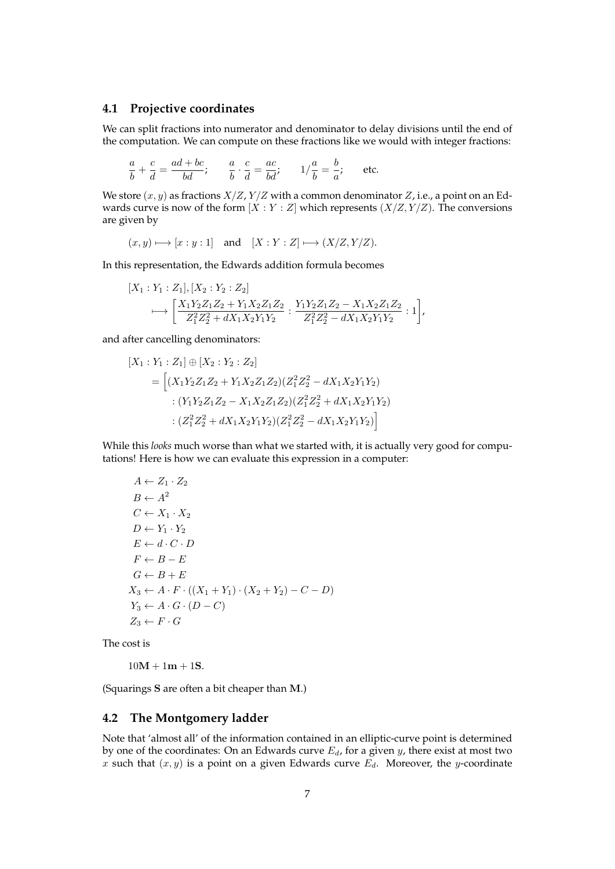#### **4.1 Projective coordinates**

We can split fractions into numerator and denominator to delay divisions until the end of the computation. We can compute on these fractions like we would with integer fractions:

$$
\frac{a}{b} + \frac{c}{d} = \frac{ad + bc}{bd}; \qquad \frac{a}{b} \cdot \frac{c}{d} = \frac{ac}{bd}; \qquad 1/\frac{a}{b} = \frac{b}{a}; \qquad \text{etc.}
$$

We store  $(x, y)$  as fractions  $X/Z$ ,  $Y/Z$  with a common denominator  $Z$ , i.e., a point on an Edwards curve is now of the form  $[X:Y:Z]$  which represents  $(X/Z, Y/Z)$ . The conversions are given by

$$
(x, y) \mapsto [x : y : 1]
$$
 and  $[X : Y : Z] \mapsto (X/Z, Y/Z).$ 

In this representation, the Edwards addition formula becomes

$$
[X_1:Y_1:Z_1], [X_2:Y_2:Z_2]
$$
  

$$
\longmapsto \left[\frac{X_1Y_2Z_1Z_2+Y_1X_2Z_1Z_2}{Z_1^2Z_2^2+dX_1X_2Y_1Y_2}:\frac{Y_1Y_2Z_1Z_2-X_1X_2Z_1Z_2}{Z_1^2Z_2^2-dX_1X_2Y_1Y_2}:1\right],
$$

and after cancelling denominators:

$$
[X_1:Y_1:Z_1] \oplus [X_2:Y_2:Z_2]
$$
  
= 
$$
\left[ (X_1Y_2Z_1Z_2 + Y_1X_2Z_1Z_2)(Z_1^2Z_2^2 - dX_1X_2Y_1Y_2) \right. \\ \left. \left. \left. \left. \left( Y_1Y_2Z_1Z_2 - X_1X_2Z_1Z_2 \right) \left( Z_1^2Z_2^2 + dX_1X_2Y_1Y_2 \right) \right. \right. \\ \left. \left. \left. \left( Z_1^2Z_2^2 + dX_1X_2Y_1Y_2 \right) \left( Z_1^2Z_2^2 - dX_1X_2Y_1Y_2 \right) \right) \right]
$$

While this *looks* much worse than what we started with, it is actually very good for computations! Here is how we can evaluate this expression in a computer:

$$
A \leftarrow Z_1 \cdot Z_2
$$
  
\n
$$
B \leftarrow A^2
$$
  
\n
$$
C \leftarrow X_1 \cdot X_2
$$
  
\n
$$
D \leftarrow Y_1 \cdot Y_2
$$
  
\n
$$
E \leftarrow d \cdot C \cdot D
$$
  
\n
$$
F \leftarrow B - E
$$
  
\n
$$
G \leftarrow B + E
$$
  
\n
$$
X_3 \leftarrow A \cdot F \cdot ((X_1 + Y_1) \cdot (X_2 + Y_2) - C - D)
$$
  
\n
$$
Y_3 \leftarrow A \cdot G \cdot (D - C)
$$
  
\n
$$
Z_3 \leftarrow F \cdot G
$$

The cost is

 $10M + 1m + 1S$ .

(Squarings S are often a bit cheaper than M.)

### **4.2 The Montgomery ladder**

Note that 'almost all' of the information contained in an elliptic-curve point is determined by one of the coordinates: On an Edwards curve  $E_d$ , for a given  $y$ , there exist at most two x such that  $(x, y)$  is a point on a given Edwards curve  $E_d$ . Moreover, the y-coordinate